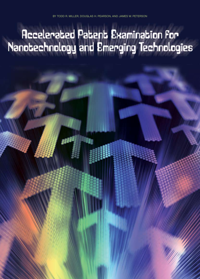# Accelerated Patent Examination for<br>Nanotechnology and Emerging Technologies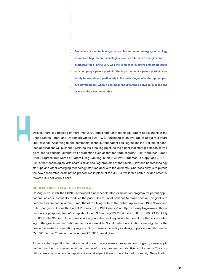Executives of nanotechnology companies and other emerging technology companies (e.g., clean technologies, such as alternative energies and alternative fuels) know very well the value that investors and others place on a company's patent portfolio. The importance of a patent portfolio can hardly be overstated, particularly in the early stages of a startup company's development, when it can mean the difference between success and failure at the investment table.

owever, there is a backlog of more than 2,700 published nanotechnology patent applications at the United States Patent and Trademark Office ("USPTO"), translating to an average of about four years until issuance. According to one commentator, the current patent backlog means the "volume of nanotech applications will push the USPTO to the breaking point," to the extent that startup companies "will be forced to consider alternative IP protection such as that for trade secrets." (See "Nanotech Report Cites Progress, But Warns of Patent Filing Backlog in PTO," 72 Pat. Trademark & Copyright J. (BNA) 347.) Other technological arts share similar backlog problems at the USPTO. How can nanotechnology startups and other emerging technology startups deal with the dilemma? One possibility is to pursue the new accelerated examination procedures in place at the USPTO. While this path provides potential rewards, it is not without risks.

#### The Accelerated Examination Program

→ → → → → → → → → → → → → → → → → → → → → → → → → → → → → → → → →

H

On August 25, 2006, the USPTO introduced a new accelerated examination program for patent applications, which substantially modifies the prior rules for most petitions to make special. The goal is to complete examination within 12 months of the filing date of the patent application. (See "Proposed Rule Changes to Focus the Patent Process in the 21st Century," at http://www.uspto.gov/web/offices/ pac/dapp/opla/presentation/focuspp.html, and 71 Fed. Reg. 36323 (June 26, 2006); 1308 OG 106 (July 18, 2006).) The 12-month time frame is not a guarantee, and any failure to meet it or other issues relating to the goal is neither petitionable nor appealable. Not all patent applications are eligible for the new accelerated examination program. Only non-reissue utility or design applications filed under 35 U.S.C. Section 111(a) on or after August 25, 2006, are eligible.

To be granted a petition to make special under the accelerated examination program, a new application must be in compliance with a number of procedural and substantive requirements. The conditions are extensive, and an applicant should expect them to be enforced rigorously. The following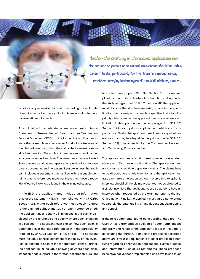Neither the drafting of the patent application nor the decision to pursue accelerated examination should be under taken in haste, particularly for inventions in nanotechnology or other emerging technologies of a multidisciplinary nature.

→ → → → → → → → → → → → → → → → → → → → → → → → → → → → → → → → → → → → → → → → → → → → → → → → → → → → → → → → → → → → → → → → → → → → → → → → → → → → → → → → → → → → → → → → → → → → → → → → → → → → → → → → → → → → → → → → → → → → → → → → → → → → → → → →

is not a comprehensive discussion regarding the multitude of requirements, but merely highlights main and potentially problematic requirements.

An application for accelerated examination must contain a Statement of Preexamination Search and an Examination Support Document ("ESD"). In the former, the applicant must state that a search was performed for all of the features of the claimed invention, giving the claims the broadest reasonable interpretation. The applicant must be very specific about what was searched and how. The search must involve United States patents and patent application publications, foreign patent documents, and nonpatent literature, unless the applicant includes a statement that justifies with reasonable certainty that no references more pertinent than those already identified are likely to be found in the eliminated source.

In the ESD, the applicant must include an Information Disclosure Statement ("IDS") in compliance with 37 C.F.R. Section 1.98, citing each reference most closely related to the claimed subject matter. For each reference cited, the applicant must identify all limitations in the claims disclosed by the reference and specify where each limitation is disclosed. The applicant must explain how each claim is patentable over the cited references with the particularity required by 37 C.F.R. Section 1.111(b) and (c). The applicant must include a concise statement of the utility of the invention as defined in each of the independent claims. Further, the applicant must include a showing of where each claim limitation finds support in the written description pursuant

to the first paragraph of 35 U.S.C. Section 112. For meansplus-function or step-plus-function limitations falling under the sixth paragraph of 35 U.S.C. Section 112, the applicant must disclose the structure, material, or acts in the specification that correspond to each respective limitation. If a priority claim is made, the applicant must show where each limitation finds support under the first paragraph of 35 U.S.C. Section 112 in each priority application in which such support exists. Finally, the applicant must identify any cited references that may be disqualified as prior art under 35 U.S.C. Section 103(c), as amended by the Cooperative Research and Technology Enhancement Act.

The application must contain three or fewer independent claims and 20 or fewer total claims. The application must not contain any multiple dependent claims. The claims have to be directed to a single invention and the applicant must agree to make an election without traverse in a telephonic interview should all the claims presented not be directed to a single invention. The applicant must also agree to have an interview when requested by the examiner prior to the first Office action. Finally, the applicant must agree not to argue separately the patentability of any dependent claim during any appeal.

If these requirements sound considerable, they are. The USPTO has a tremendous backlog of patent applications generally and refers to the applicant's labor in this regard as "sharing the burden." Some of the provisions described above are similar to requirements of other proposed patent rules regarding continuation applications, claims practice, and Information Disclosure Statements. These proposed rules have not yet been implemented and have raised much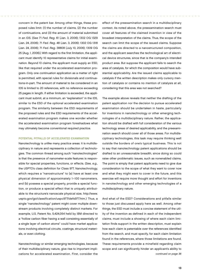concern in the patent bar. Among other things, these proposed rules limit: (1) the number of claims, (2) the number of continuations, and (3) the amount of material submitted in an IDS. (See 71 Fed. Reg. 61 (Jan. 3, 2006); 1302 OG 1329 (Jan. 24, 2006); 71 Fed. Reg. 48 (Jan. 3, 2006); 1302 OG 1318 (Jan. 24, 2006); 71 Fed. Reg. 38808 (July 10, 2006); 1309 OG 25 (Aug. 1, 2006).) With regard to the first limitation, the applicant must identify 10 representative claims for initial examination. Beyond 10 claims, the applicant must supply an ESD, like that required under the accelerated examination program. Only one continuation application as a matter of right is permitted, with special rules for divisionals and continuations-in-part. The amount of material to be considered in an IDS is limited to 20 references, with no reference exceeding 25 pages in length. If either limitation is exceeded, the applicant must submit, at a minimum, an "explanation" in the IDS, similar to the ESD of the optional accelerated examination program. The similarity between the ESD requirements of the proposed rules and the ESD requirements of the accelerated examination program makes one wonder whether the accelerated examination program foreshadows what may ultimately become conventional required practice.

→ → → → → → → → → → → → → → → → → → → → → → → → → → → → → → → → → → → → → → → → → → → → → → → → → → → → → → → → → → → → → → → → → → → → → → → → → → → → → → → → → → → → → → → → → → → → → → → → → → → → → → → → → → → → → → → → → → → → → → → → → → → → → → → →

# Potential Pitfalls of Accelerated Examination

Nanotechnology is unlike many practice areas: it is multidisciplinary in nature and represents a collection of technologies. The common thread among such "nanotechnologies" is that the presence of nanometer-scale features is responsible for special properties, functions, or effects. (See, e.g., the USPTO's class definition for Class 977, Nanotechnology, which requires a "nanostructure" to (a) have at least one physical dimension of approximately 1–100 nanometers, and (b) possess a special property, provide a special function, or produce a special effect that is uniquely attributable to the structure's nanoscale physical size, http://www. uspto.gov/go/classification/uspc977/defs977.htm.) Thus, a single "nanotechnology" patent might cover multiple downstream products involving completely distinct markets. For example, U.S. Patent No. 5,424,054 held by IBM directed to a "hollow carbon fiber having a wall consisting essentially of a single layer of carbon atoms" could have market applications involving electrical circuits, coatings, structural materials, or even clothing.

Nanotechnology or similar emerging technologies, because of their multidisciplinary nature, give rise to important implications for accelerated examination. First, consider the

effect of the preexamination search in a multidisciplinary context. As noted above, the preexamination search must cover all features of the claimed invention in view of the broadest interpretation of the claims. Thus, the scope of the search can limit the scope of the issued claims. Suppose the claims are directed to a nanostructured composition, and the applicant searches the technological art of electrical device structures, since that is the company's intended product area. But suppose the applicant fails to search the area of catalysis, for which the composition would have substantial applicability. Are the issued claims applicable to catalysis if the written description makes only cursory mention of catalysis or contains no mention of catalysis at all, considering that this area was not searched?

The example above reveals that neither the drafting of the patent application nor the decision to pursue accelerated examination should be undertaken in haste, particularly for inventions in nanotechnology or other emerging technologies of a multidisciplinary nature. Rather, the application should be drafted with full consideration of the various technology areas of desired applicability, and the preexamination search should cover all of those areas. For multidisciplinary technologies, this task may require thinking well outside the borders of one's typical business. This is not to say that nanotechnology patent applications should be drafted to an unreasonable breadth, since doing so could raise other problematic issues, such as nonenabled claims. The point is simply that patent applicants need to give due consideration to the scope of what they want to cover now and what they might want to cover in the future, and this exercise will require more thought and effort for inventions in nanotechnology and other emerging technologies of a multidisciplinary nature.

And what of the ESD? Considerations and pitfalls similar to those just discussed apply here as well. Among other things, the ESD must include a concise statement of the utility of the invention as defined in each of the independent claims, must include a showing of where each claim limitation finds support in the written description, must explain how each claim is patentable over the references identified from the search, and must specify, for each claim limitation found in the references, where those limitations are found. These requirements provide a minefield regarding claim scope and can significantly hinder an applicant's ability to continued on page 36